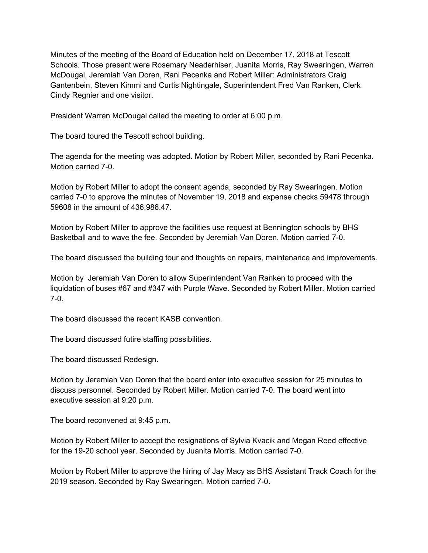Minutes of the meeting of the Board of Education held on December 17, 2018 at Tescott Schools. Those present were Rosemary Neaderhiser, Juanita Morris, Ray Swearingen, Warren McDougal, Jeremiah Van Doren, Rani Pecenka and Robert Miller: Administrators Craig Gantenbein, Steven Kimmi and Curtis Nightingale, Superintendent Fred Van Ranken, Clerk Cindy Regnier and one visitor.

President Warren McDougal called the meeting to order at 6:00 p.m.

The board toured the Tescott school building.

The agenda for the meeting was adopted. Motion by Robert Miller, seconded by Rani Pecenka. Motion carried 7-0.

Motion by Robert Miller to adopt the consent agenda, seconded by Ray Swearingen. Motion carried 7-0 to approve the minutes of November 19, 2018 and expense checks 59478 through 59608 in the amount of 436,986.47.

Motion by Robert Miller to approve the facilities use request at Bennington schools by BHS Basketball and to wave the fee. Seconded by Jeremiah Van Doren. Motion carried 7-0.

The board discussed the building tour and thoughts on repairs, maintenance and improvements.

Motion by Jeremiah Van Doren to allow Superintendent Van Ranken to proceed with the liquidation of buses #67 and #347 with Purple Wave. Seconded by Robert Miller. Motion carried 7-0.

The board discussed the recent KASB convention.

The board discussed futire staffing possibilities.

The board discussed Redesign.

Motion by Jeremiah Van Doren that the board enter into executive session for 25 minutes to discuss personnel. Seconded by Robert Miller. Motion carried 7-0. The board went into executive session at 9:20 p.m.

The board reconvened at 9:45 p.m.

Motion by Robert Miller to accept the resignations of Sylvia Kvacik and Megan Reed effective for the 19-20 school year. Seconded by Juanita Morris. Motion carried 7-0.

Motion by Robert Miller to approve the hiring of Jay Macy as BHS Assistant Track Coach for the 2019 season. Seconded by Ray Swearingen. Motion carried 7-0.